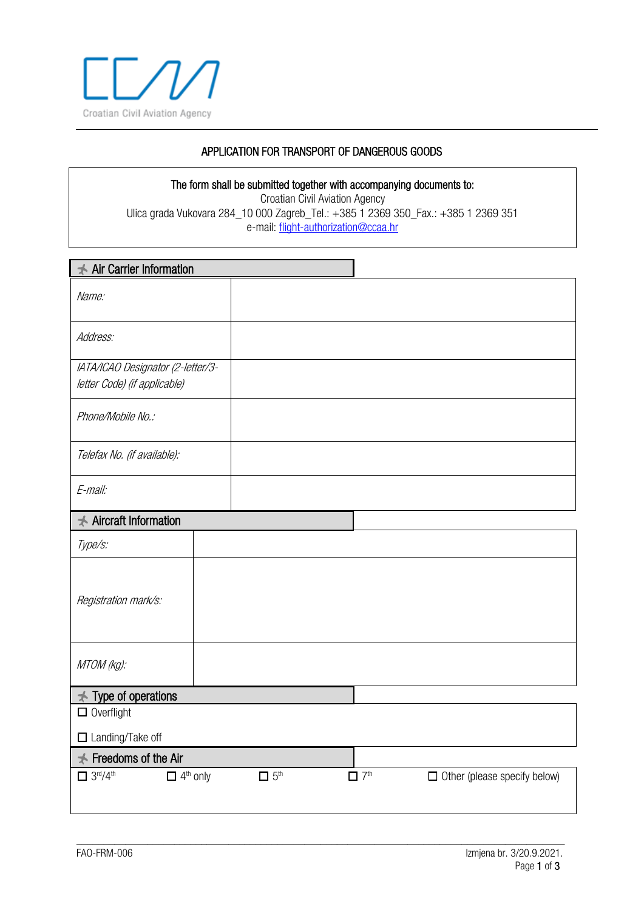

## APPLICATION FOR TRANSPORT OF DANGEROUS GOODS

The form shall be submitted together with accompanying documents to: Croatian Civil Aviation Agency Ulica grada Vukovara 284\_10 000 Zagreb\_Tel.: +385 1 2369 350\_Fax.: +385 1 2369 351 e-mail: [flight-authorization@ccaa.hr](mailto:flight-authorization@ccaa.hr)

| <b>★ Air Carrier Information</b>                                  |                        |                                                               |
|-------------------------------------------------------------------|------------------------|---------------------------------------------------------------|
| Name:                                                             |                        |                                                               |
| Address:                                                          |                        |                                                               |
| IATA/ICAO Designator (2-letter/3-<br>letter Code) (if applicable) |                        |                                                               |
| Phone/Mobile No.:                                                 |                        |                                                               |
| Telefax No. (if available):                                       |                        |                                                               |
| E-mail:                                                           |                        |                                                               |
| <b>★ Aircraft Information</b>                                     |                        |                                                               |
| Type/s:                                                           |                        |                                                               |
| Registration mark/s:                                              |                        |                                                               |
| MTOM (kg):                                                        |                        |                                                               |
| $\star$ Type of operations                                        |                        |                                                               |
| $\Box$ Overflight                                                 |                        |                                                               |
| □ Landing/Take off                                                |                        |                                                               |
| $\preceq$ Freedoms of the Air                                     |                        |                                                               |
| $\square$ 3rd/4 <sup>th</sup><br>$\Box$ 4 <sup>th</sup> only      | $\Box$ 5 <sup>th</sup> | $\Box$ 7 <sup>th</sup><br>$\Box$ Other (please specify below) |
|                                                                   |                        |                                                               |

\_\_\_\_\_\_\_\_\_\_\_\_\_\_\_\_\_\_\_\_\_\_\_\_\_\_\_\_\_\_\_\_\_\_\_\_\_\_\_\_\_\_\_\_\_\_\_\_\_\_\_\_\_\_\_\_\_\_\_\_\_\_\_\_\_\_\_\_\_\_\_\_\_\_\_\_\_\_\_\_\_\_\_\_\_\_\_\_\_\_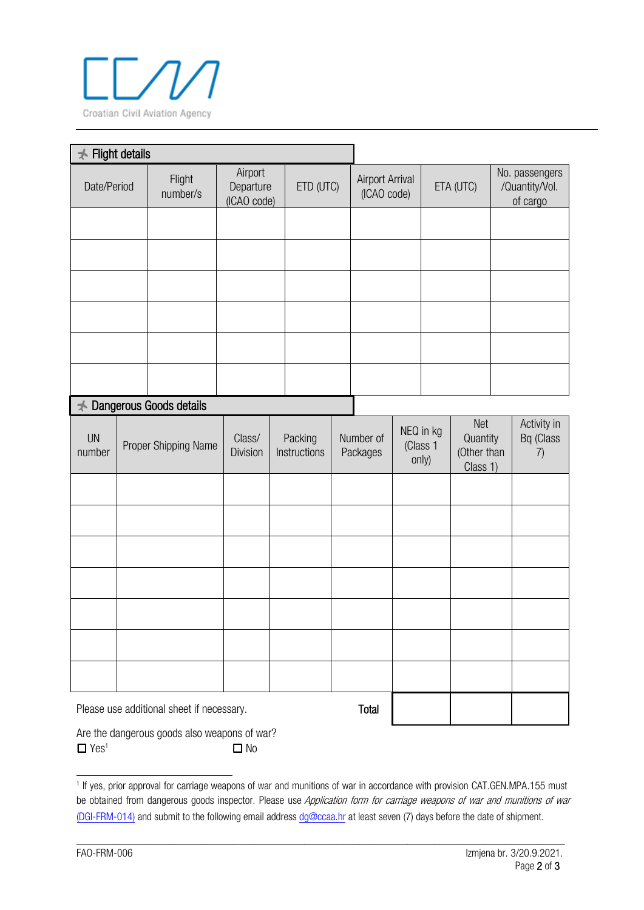

| <b>Flight details</b> |  |                         |                                     |  |                         |                       |                                       |  |                                                                              |  |  |                                |
|-----------------------|--|-------------------------|-------------------------------------|--|-------------------------|-----------------------|---------------------------------------|--|------------------------------------------------------------------------------|--|--|--------------------------------|
| Date/Period           |  | Flight<br>number/s      | Airport<br>Departure<br>(ICAO code) |  | ETD (UTC)               |                       | <b>Airport Arrival</b><br>(ICAO code) |  | No. passengers<br>ETA (UTC)<br>/Quantity/Vol.<br>of cargo                    |  |  |                                |
|                       |  |                         |                                     |  |                         |                       |                                       |  |                                                                              |  |  |                                |
|                       |  |                         |                                     |  |                         |                       |                                       |  |                                                                              |  |  |                                |
|                       |  |                         |                                     |  |                         |                       |                                       |  |                                                                              |  |  |                                |
|                       |  |                         |                                     |  |                         |                       |                                       |  |                                                                              |  |  |                                |
|                       |  |                         |                                     |  |                         |                       |                                       |  |                                                                              |  |  |                                |
|                       |  |                         |                                     |  |                         |                       |                                       |  |                                                                              |  |  |                                |
| $\star$               |  | Dangerous Goods details |                                     |  |                         |                       |                                       |  |                                                                              |  |  |                                |
| <b>UN</b><br>number   |  | Proper Shipping Name    | Class/<br><b>Division</b>           |  | Packing<br>Instructions | Number of<br>Packages |                                       |  | Net<br>NEQ in kg<br>Quantity<br>(Class 1<br>(Other than<br>only)<br>Class 1) |  |  | Activity in<br>Bq (Class<br>7) |
|                       |  |                         |                                     |  |                         |                       |                                       |  |                                                                              |  |  |                                |
|                       |  |                         |                                     |  |                         |                       |                                       |  |                                                                              |  |  |                                |
|                       |  |                         |                                     |  |                         |                       |                                       |  |                                                                              |  |  |                                |
|                       |  |                         |                                     |  |                         |                       |                                       |  |                                                                              |  |  |                                |
|                       |  |                         |                                     |  |                         |                       |                                       |  |                                                                              |  |  |                                |

| Are the dangerous goods also weapons of war? |  |
|----------------------------------------------|--|
| $\Box$ Yes <sup>1</sup><br>$\square$ No      |  |

Please use additional sheet if necessary. Total

\_\_\_\_\_\_\_\_\_\_\_\_\_\_\_\_\_\_\_\_\_\_\_\_\_\_\_\_\_\_\_\_\_\_\_\_\_\_\_\_\_\_\_\_\_\_\_\_\_\_\_\_\_\_\_\_\_\_\_\_\_\_\_\_\_\_\_\_\_\_\_\_\_\_\_\_\_\_\_\_\_\_\_\_\_\_\_\_\_\_

<sup>1</sup> If yes, prior approval for carriage weapons of war and munitions of war in accordance with provision CAT.GEN.MPA.155 must be obtained from dangerous goods inspector. Please use Application form for carriage weapons of war and munitions of war [\(DGI-FRM-014\)](http://www.ccaa.hr/en/forms-79344) and submit to the following email address dg[@ccaa.hr at](mailto:dg@ccaa.hr) least seven (7) days before the date of shipment.